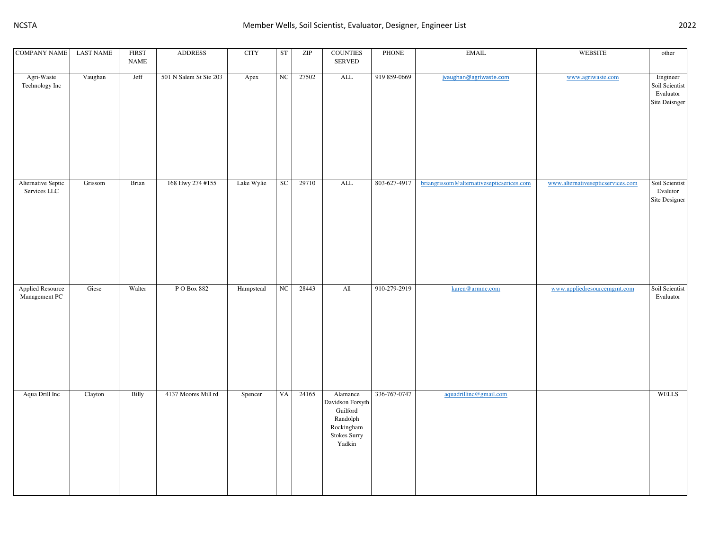| <b>COMPANY NAME</b>                | <b>LAST NAME</b> | <b>FIRST</b><br>$\ensuremath{\mathsf{NAME}}$ | <b>ADDRESS</b>         | <b>CITY</b> | ${\rm ST}$  | ZIP   | <b>COUNTIES</b><br>${\tt SERVED}$                                                                             | PHONE        | $\operatorname{EMAIL}$                    | WEBSITE                           | other                                                    |
|------------------------------------|------------------|----------------------------------------------|------------------------|-------------|-------------|-------|---------------------------------------------------------------------------------------------------------------|--------------|-------------------------------------------|-----------------------------------|----------------------------------------------------------|
| Agri-Waste<br>Technology Inc       | Vaughan          | Jeff                                         | 501 N Salem St Ste 203 | Apex        | $_{\rm NC}$ | 27502 | $\mbox{ALL}$                                                                                                  | 919 859-0669 | jvaughan@agriwaste.com                    | www.agriwaste.com                 | Engineer<br>Soil Scientist<br>Evaluator<br>Site Deisnger |
| Alternative Septic<br>Services LLC | Grissom          | Brian                                        | 168 Hwy 274 #155       | Lake Wylie  | SC          | 29710 | $\overline{\mathrm{ALL}}$                                                                                     | 803-627-4917 | briangrissom@alternativesepticserices.com | www.alternativesepticservices.com | Soil Scientist<br>Evalutor<br>Site Designer              |
| Applied Resource<br>Management PC  | Giese            | Walter                                       | P O Box 882            | Hampstead   | NC          | 28443 | All                                                                                                           | 910-279-2919 | karen@armnc.com                           | www.appliedresourcemgmt.com       | Soil Scientist<br>Evaluator                              |
| Aqua Drill Inc                     | Clayton          | Billy                                        | 4137 Moores Mill rd    | Spencer     | VA          | 24165 | Alamance<br>Davidson Forsyth<br>$\operatorname{Guilford}$<br>Randolph<br>Rockingham<br>Stokes Surry<br>Yadkin | 336-767-0747 | aquadrillinc@gmail.com                    |                                   | <b>WELLS</b>                                             |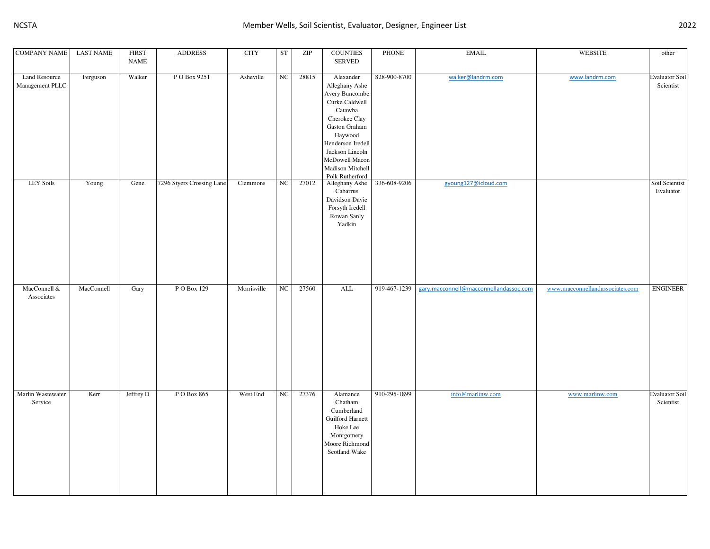| <b>COMPANY NAME</b>                     | <b>LAST NAME</b> | <b>FIRST</b><br>NAME | <b>ADDRESS</b>            | <b>CITY</b> | ST               | ZIP   | <b>COUNTIES</b><br><b>SERVED</b>                                                                                                                                                                                         | <b>PHONE</b> | <b>EMAIL</b>                           | <b>WEBSITE</b>                  | other                              |
|-----------------------------------------|------------------|----------------------|---------------------------|-------------|------------------|-------|--------------------------------------------------------------------------------------------------------------------------------------------------------------------------------------------------------------------------|--------------|----------------------------------------|---------------------------------|------------------------------------|
| <b>Land Resource</b><br>Management PLLC | Ferguson         | Walker               | PO Box 9251               | Asheville   | NC               | 28815 | Alexander<br>Alleghany Ashe<br>Avery Buncombe<br>Curke Caldwell<br>Catawba<br>Cherokee Clay<br>Gaston Graham<br>Haywood<br>Henderson Iredell<br>Jackson Lincoln<br>McDowell Macon<br>Madison Mitchell<br>Polk Rutherford | 828-900-8700 | walker@landrm.com                      | www.landrm.com                  | <b>Evaluator Soil</b><br>Scientist |
| <b>LEY Soils</b>                        | Young            | Gene                 | 7296 Styers Crossing Lane | Clemmons    | $_{\mathrm{NC}}$ | 27012 | Alleghany Ashe<br>Cabarrus<br>Davidson Davie<br>Forsyth Iredell<br>Rowan Sanly<br>Yadkin                                                                                                                                 | 336-608-9206 | gyoung127@icloud.com                   |                                 | Soil Scientist<br>Evaluator        |
| MacConnell &<br>Associates              | MacConnell       | Gary                 | PO Box 129                | Morrisville | $_{\mathrm{NC}}$ | 27560 | $\overline{\mathrm{ALL}}$                                                                                                                                                                                                | 919-467-1239 | gary.macconnell@macconnellandassoc.com | www.macconnellandassociates.com | <b>ENGINEER</b>                    |
| Marlin Wastewater<br>Service            | Kerr             | Jeffrey D            | PO Box 865                | West End    | $_{\mathrm{NC}}$ | 27376 | Alamance<br>Chatham<br>Cumberland<br>Guilford Harnett<br>Hoke Lee<br>Montgomery<br>Moore Richmond<br>Scotland Wake                                                                                                       | 910-295-1899 | info@marlinw.com                       | www.marlinw.com                 | <b>Evaluator Soil</b><br>Scientist |